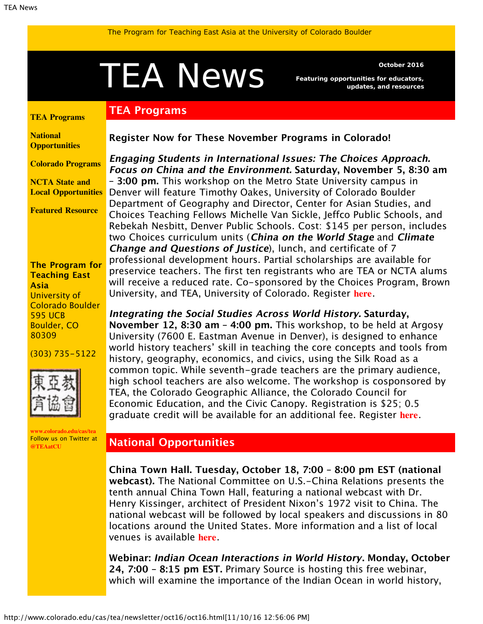# <span id="page-0-1"></span>TEA NewS<br>Featuring opportunities for educators,

**TEA Programs**

*Featuring opportunities for educators, updates, and resources*

#### <span id="page-0-0"></span>**[TEA Programs](#page-0-0)**

**[National](#page-0-1) [Opportunities](#page-0-1)**

**[Colorado Programs](#page-2-0)**

**[NCTA State and](#page-2-1) [Local Opportunities](#page-2-1)**

**[Featured Resource](#page-3-0)**

#### **The Program for Teaching East Asia** University of Colorado Boulder 595 UCB Boulder, CO 80309

#### (303) 735-5122



**[www.colorado.edu/cas/tea](http://www.colorado.edu/cas/tea)** Follow us on Twitter at **[@TEAatCU](https://twitter.com/TEAatCU)**

#### **Register Now for These November Programs in Colorado!**

**Engaging Students in International Issues: The Choices Approach. Focus on China and the Environment. Saturday, November 5, 8:30 am – 3:00 pm.** This workshop on the Metro State University campus in Denver will feature Timothy Oakes, University of Colorado Boulder Department of Geography and Director, Center for Asian Studies, and Choices Teaching Fellows Michelle Van Sickle, Jeffco Public Schools, and Rebekah Nesbitt, Denver Public Schools. Cost: \$145 per person, includes two Choices curriculum units (**China on the World Stage** and **Climate Change and Questions of Justice**), lunch, and certificate of 7 professional development hours. Partial scholarships are available for preservice teachers. The first ten registrants who are TEA or NCTA alums will receive a reduced rate. Co-sponsored by the Choices Program, Brown University, and TEA, University of Colorado. Register **[here](https://payment.brown.edu/C20460_ustores/web/product_detail.jsp?PRODUCTID=1926&SINGLESTORE=true)**.

**Integrating the Social Studies Across World History. Saturday, November 12, 8:30 am – 4:00 pm.** This workshop, to be held at Argosy University (7600 E. Eastman Avenue in Denver), is designed to enhance world history teachers' skill in teaching the core concepts and tools from history, geography, economics, and civics, using the Silk Road as a common topic. While seventh-grade teachers are the primary audience, high school teachers are also welcome. The workshop is cosponsored by TEA, the Colorado Geographic Alliance, the Colorado Council for Economic Education, and the Civic Canopy. Registration is \$25; 0.5 graduate credit will be available for an additional fee. Register **[here](http://www.ccee.net/2016-integrating-ss)**.

## **National Opportunities**

**China Town Hall. Tuesday, October 18, 7:00 – 8:00 pm EST (national webcast).** The National Committee on U.S.-China Relations presents the tenth annual China Town Hall, featuring a national webcast with Dr. Henry Kissinger, architect of President Nixon's 1972 visit to China. The national webcast will be followed by local speakers and discussions in 80 locations around the United States. More information and a list of local venues is available **[here](https://www.ncuscr.org/content/china-town-hall)**.

**Webinar: Indian Ocean Interactions in World History. Monday, October 24, 7:00 – 8:15 pm EST.** Primary Source is hosting this free webinar, which will examine the importance of the Indian Ocean in world history,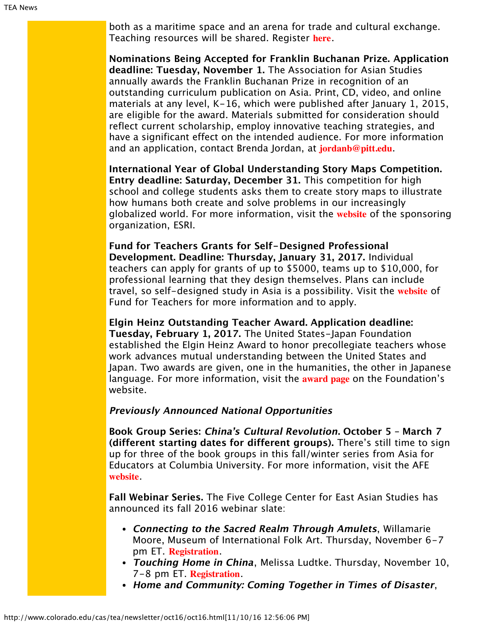both as a maritime space and an arena for trade and cultural exchange. Teaching resources will be shared. Register **[here](http://www.primarysource.org/for-teachers/webinars/indian-ocean-interactions-in-world-history)**.

**Nominations Being Accepted for Franklin Buchanan Prize. Application deadline: Tuesday, November 1.** The Association for Asian Studies annually awards the Franklin Buchanan Prize in recognition of an outstanding curriculum publication on Asia. Print, CD, video, and online materials at any level, K-16, which were published after January 1, 2015, are eligible for the award. Materials submitted for consideration should reflect current scholarship, employ innovative teaching strategies, and have a significant effect on the intended audience. For more information and an application, contact Brenda Jordan, at **[jordanb@pitt.edu](mailto:jordanb@pitt.edu)**.

**International Year of Global Understanding Story Maps Competition. Entry deadline: Saturday, December 31.** This competition for high school and college students asks them to create story maps to illustrate how humans both create and solve problems in our increasingly globalized world. For more information, visit the **[website](http://go.esri.com/IYGU-Competition)** of the sponsoring organization, ESRI.

**Fund for Teachers Grants for Self-Designed Professional Development. Deadline: Thursday, January 31, 2017.** Individual teachers can apply for grants of up to \$5000, teams up to \$10,000, for professional learning that they design themselves. Plans can include travel, so self-designed study in Asia is a possibility. Visit the **[website](http://fft.fundforteachers.org/)** of Fund for Teachers for more information and to apply.

**Elgin Heinz Outstanding Teacher Award. Application deadline: Tuesday, February 1, 2017.** The United States-Japan Foundation established the Elgin Heinz Award to honor precollegiate teachers whose work advances mutual understanding between the United States and Japan. Two awards are given, one in the humanities, the other in Japanese language. For more information, visit the **[award page](http://us-jf.org/programs/elgin-heinz-teacher-awards/)** on the Foundation's website.

#### **Previously Announced National Opportunities**

**Book Group Series: China's Cultural Revolution. October 5 – March 7 (different starting dates for different groups).** There's still time to sign up for three of the book groups in this fall/winter series from Asia for Educators at Columbia University. For more information, visit the AFE **[website](http://asiaforeducators.org/course/index.php?categoryid=56)**.

**Fall Webinar Series.** The Five College Center for East Asian Studies has announced its fall 2016 webinar slate:

- **Connecting to the Sacred Realm Through Amulets**, Willamarie Moore, Museum of International Folk Art. Thursday, November 6-7 pm ET. **[Registration](https://attendee.gotowebinar.com/register/6031755140613450243)**.
- **Touching Home in China**, Melissa Ludtke. Thursday, November 10, 7-8 pm ET. **[Registration](https://attendee.gotowebinar.com/register/2599090833483500546)**.
- **Home and Community: Coming Together in Times of Disaster**,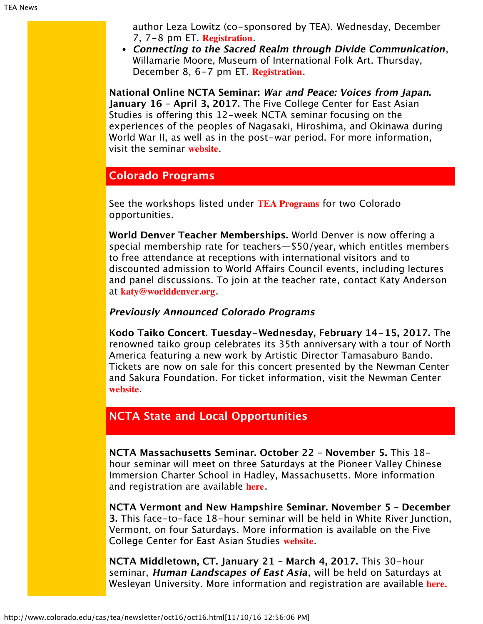author Leza Lowitz (co-sponsored by TEA). Wednesday, December 7, 7-8 pm ET. **[Registration](https://attendee.gotowebinar.com/register/8811807619263199491)**.

**Connecting to the Sacred Realm through Divide Communication**, Willamarie Moore, Museum of International Folk Art. Thursday, December 8, 6-7 pm ET. **[Registration](https://attendee.gotowebinar.com/register/757199950078992643)**.

**National Online NCTA Seminar: War and Peace: Voices from Japan. January 16 – April 3, 2017.** The Five College Center for East Asian Studies is offering this 12-week NCTA seminar focusing on the experiences of the peoples of Nagasaki, Hiroshima, and Okinawa during World War II, as well as in the post-war period. For more information, visit the seminar **[website](https://www.fivecolleges.edu/fcceas/ncta/national-online)**.

### <span id="page-2-0"></span>**Colorado Programs**

See the workshops listed under **[TEA Programs](#page-0-0)** for two Colorado opportunities.

**World Denver Teacher Memberships.** World Denver is now offering a special membership rate for teachers—\$50/year, which entitles members to free attendance at receptions with international visitors and to discounted admission to World Affairs Council events, including lectures and panel discussions. To join at the teacher rate, contact Katy Anderson at **[katy@worlddenver.org](mailto:katy@worlddenver.org)**.

#### **Previously Announced Colorado Programs**

**Kodo Taiko Concert. Tuesday-Wednesday, February 14-15, 2017.** The renowned taiko group celebrates its 35th anniversary with a tour of North America featuring a new work by Artistic Director Tamasaburo Bando. Tickets are now on sale for this concert presented by the Newman Center and Sakura Foundation. For ticket information, visit the Newman Center **[website](http://www.newmantix.com/)**.

## <span id="page-2-1"></span>**NCTA State and Local Opportunities**

**NCTA Massachusetts Seminar. October 22 – November 5.** This 18 hour seminar will meet on three Saturdays at the Pioneer Valley Chinese Immersion Charter School in Hadley, Massachusetts. More information and registration are available **[here](https://www.fivecolleges.edu/fcceas/ncta/ncta_in_massachusetts)**.

**NCTA Vermont and New Hampshire Seminar. November 5 – December 3.** This face-to-face 18-hour seminar will be held in White River Junction, Vermont, on four Saturdays. More information is available on the Five College Center for East Asian Studies **[website](http://www.fivecolleges.edu/fcceas/ncta/vermont)**.

**NCTA Middletown, CT. January 21 – March 4, 2017.** This 30-hour seminar, **Human Landscapes of East Asia**, will be held on Saturdays at Wesleyan University. More information and registration are available **[here.](https://www.fivecolleges.edu/system/files/attachments/Seminar%20information%20and%20application%20form_1.pdf)**